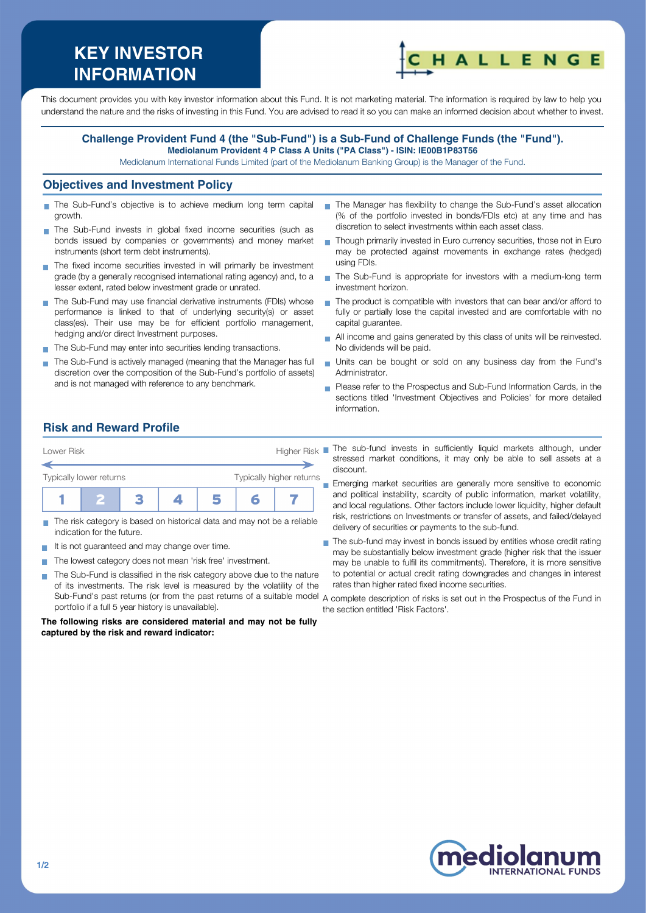# **KEY INVESTOR INFORMATION**



This document provides you with key investor information about this Fund. It is not marketing material. The information is required by law to help you understand the nature and the risks of investing in this Fund. You are advised to read it so you can make an informed decision about whether to invest.

#### **Challenge Provident Fund 4 (the "Sub-Fund") is a Sub-Fund of Challenge Funds (the "Fund"). Mediolanum Provident 4 P Class A Units ("PA Class") - ISIN: IE00B1P83T56**

Mediolanum International Funds Limited (part of the Mediolanum Banking Group) is the Manager of the Fund.

#### **Objectives and Investment Policy**

- The Sub-Fund's objective is to achieve medium long term capital growth.
- The Sub-Fund invests in global fixed income securities (such as bonds issued by companies or governments) and money market instruments (short term debt instruments).
- The fixed income securities invested in will primarily be investment grade (by a generally recognised international rating agency) and, to a lesser extent, rated below investment grade or unrated.
- The Sub-Fund may use financial derivative instruments (FDIs) whose performance is linked to that of underlying security(s) or asset class(es). Their use may be for efficient portfolio management, hedging and/or direct Investment purposes.
- The Sub-Fund may enter into securities lending transactions.
- The Sub-Fund is actively managed (meaning that the Manager has full discretion over the composition of the Sub-Fund's portfolio of assets) and is not managed with reference to any benchmark.
- The Manager has flexibility to change the Sub-Fund's asset allocation (% of the portfolio invested in bonds/FDIs etc) at any time and has discretion to select investments within each asset class.
- Though primarily invested in Euro currency securities, those not in Euro may be protected against movements in exchange rates (hedged) using FDIs.
- The Sub-Fund is appropriate for investors with a medium-long term  $\mathbf{r}$ investment horizon.
- The product is compatible with investors that can bear and/or afford to fully or partially lose the capital invested and are comfortable with no capital guarantee.
- All income and gains generated by this class of units will be reinvested.  $\overline{\phantom{a}}$ No dividends will be paid.
- Units can be bought or sold on any business day from the Fund's Administrator.
- **Please refer to the Prospectus and Sub-Fund Information Cards, in the** sections titled 'Investment Objectives and Policies' for more detailed information.

# **Risk and Reward Profile**



- The risk category is based on historical data and may not be a reliable П indication for the future.
- It is not guaranteed and may change over time.
- The lowest category does not mean 'risk free' investment. **COL**
- The Sub-Fund is classified in the risk category above due to the nature  $\sim$ of its investments. The risk level is measured by the volatility of the Sub-Fund's past returns (or from the past returns of a suitable model A complete description of risks is set out in the Prospectus of the Fund in portfolio if a full 5 year history is unavailable).

**The following risks are considered material and may not be fully captured by the risk and reward indicator:**

- stressed market conditions, it may only be able to sell assets at a discount.
- Emerging market securities are generally more sensitive to economic m. and political instability, scarcity of public information, market volatility, and local regulations. Other factors include lower liquidity, higher default risk, restrictions on Investments or transfer of assets, and failed/delayed delivery of securities or payments to the sub-fund.
- The sub-fund may invest in bonds issued by entities whose credit rating F may be substantially below investment grade (higher risk that the issuer may be unable to fulfil its commitments). Therefore, it is more sensitive to potential or actual credit rating downgrades and changes in interest rates than higher rated fixed income securities.
- the section entitled 'Risk Factors'.